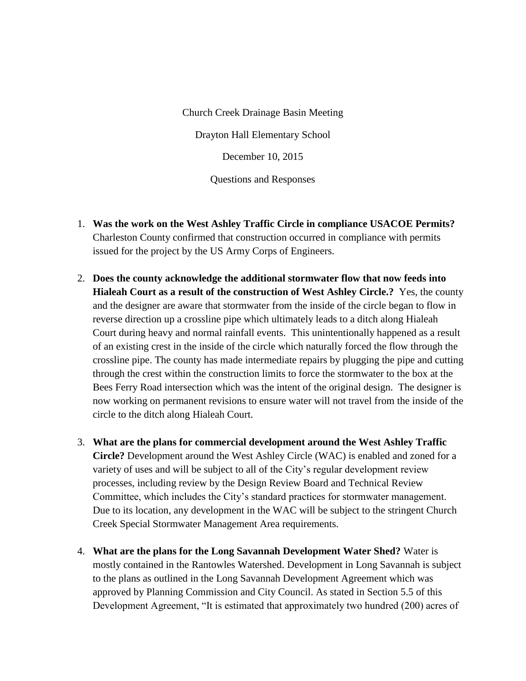Church Creek Drainage Basin Meeting Drayton Hall Elementary School December 10, 2015

Questions and Responses

- 1. **Was the work on the West Ashley Traffic Circle in compliance USACOE Permits?**  Charleston County confirmed that construction occurred in compliance with permits issued for the project by the US Army Corps of Engineers.
- 2. **Does the county acknowledge the additional stormwater flow that now feeds into Hialeah Court as a result of the construction of West Ashley Circle.?** Yes, the county and the designer are aware that stormwater from the inside of the circle began to flow in reverse direction up a crossline pipe which ultimately leads to a ditch along Hialeah Court during heavy and normal rainfall events. This unintentionally happened as a result of an existing crest in the inside of the circle which naturally forced the flow through the crossline pipe. The county has made intermediate repairs by plugging the pipe and cutting through the crest within the construction limits to force the stormwater to the box at the Bees Ferry Road intersection which was the intent of the original design. The designer is now working on permanent revisions to ensure water will not travel from the inside of the circle to the ditch along Hialeah Court.
- 3. **What are the plans for commercial development around the West Ashley Traffic Circle?** Development around the West Ashley Circle (WAC) is enabled and zoned for a variety of uses and will be subject to all of the City's regular development review processes, including review by the Design Review Board and Technical Review Committee, which includes the City's standard practices for stormwater management. Due to its location, any development in the WAC will be subject to the stringent Church Creek Special Stormwater Management Area requirements.
- 4. **What are the plans for the Long Savannah Development Water Shed?** Water is mostly contained in the Rantowles Watershed. Development in Long Savannah is subject to the plans as outlined in the Long Savannah Development Agreement which was approved by Planning Commission and City Council. As stated in Section 5.5 of this Development Agreement, "It is estimated that approximately two hundred (200) acres of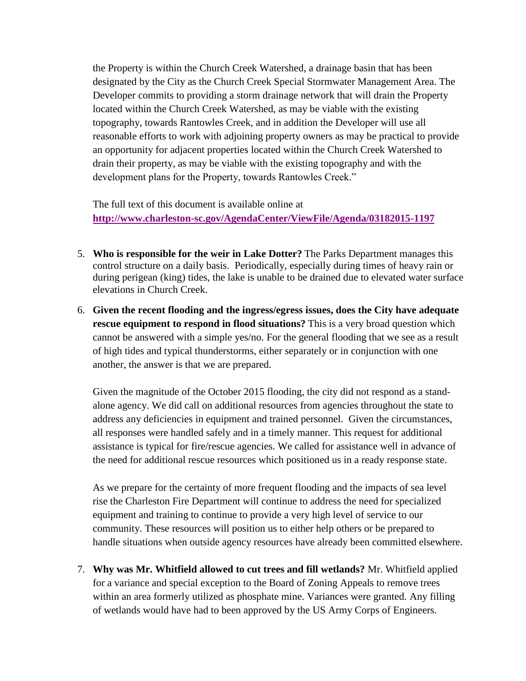the Property is within the Church Creek Watershed, a drainage basin that has been designated by the City as the Church Creek Special Stormwater Management Area. The Developer commits to providing a storm drainage network that will drain the Property located within the Church Creek Watershed, as may be viable with the existing topography, towards Rantowles Creek, and in addition the Developer will use all reasonable efforts to work with adjoining property owners as may be practical to provide an opportunity for adjacent properties located within the Church Creek Watershed to drain their property, as may be viable with the existing topography and with the development plans for the Property, towards Rantowles Creek."

The full text of this document is available online at **<http://www.charleston-sc.gov/AgendaCenter/ViewFile/Agenda/03182015-1197>**

- 5. **Who is responsible for the weir in Lake Dotter?** The Parks Department manages this control structure on a daily basis. Periodically, especially during times of heavy rain or during perigean (king) tides, the lake is unable to be drained due to elevated water surface elevations in Church Creek.
- 6. **Given the recent flooding and the ingress/egress issues, does the City have adequate rescue equipment to respond in flood situations?** This is a very broad question which cannot be answered with a simple yes/no. For the general flooding that we see as a result of high tides and typical thunderstorms, either separately or in conjunction with one another, the answer is that we are prepared.

Given the magnitude of the October 2015 flooding, the city did not respond as a standalone agency. We did call on additional resources from agencies throughout the state to address any deficiencies in equipment and trained personnel. Given the circumstances, all responses were handled safely and in a timely manner. This request for additional assistance is typical for fire/rescue agencies. We called for assistance well in advance of the need for additional rescue resources which positioned us in a ready response state.

As we prepare for the certainty of more frequent flooding and the impacts of sea level rise the Charleston Fire Department will continue to address the need for specialized equipment and training to continue to provide a very high level of service to our community. These resources will position us to either help others or be prepared to handle situations when outside agency resources have already been committed elsewhere.

7. **Why was Mr. Whitfield allowed to cut trees and fill wetlands?** Mr. Whitfield applied for a variance and special exception to the Board of Zoning Appeals to remove trees within an area formerly utilized as phosphate mine. Variances were granted. Any filling of wetlands would have had to been approved by the US Army Corps of Engineers.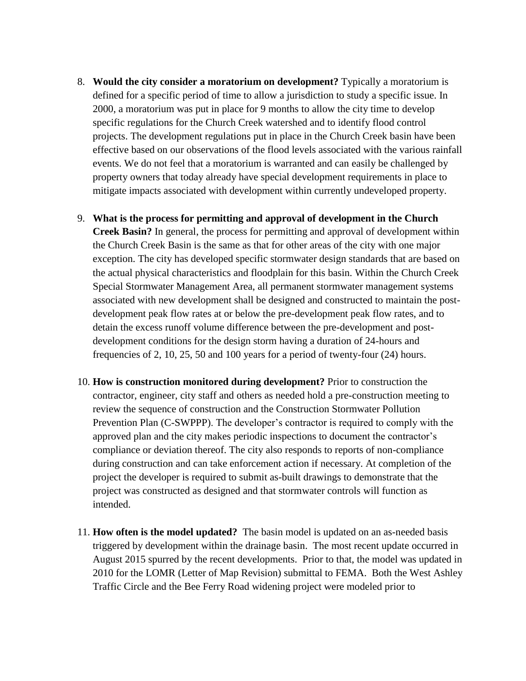- 8. **Would the city consider a moratorium on development?** Typically a moratorium is defined for a specific period of time to allow a jurisdiction to study a specific issue. In 2000, a moratorium was put in place for 9 months to allow the city time to develop specific regulations for the Church Creek watershed and to identify flood control projects. The development regulations put in place in the Church Creek basin have been effective based on our observations of the flood levels associated with the various rainfall events. We do not feel that a moratorium is warranted and can easily be challenged by property owners that today already have special development requirements in place to mitigate impacts associated with development within currently undeveloped property.
- 9. **What is the process for permitting and approval of development in the Church Creek Basin?** In general, the process for permitting and approval of development within the Church Creek Basin is the same as that for other areas of the city with one major exception. The city has developed specific stormwater design standards that are based on the actual physical characteristics and floodplain for this basin. Within the Church Creek Special Stormwater Management Area, all permanent stormwater management systems associated with new development shall be designed and constructed to maintain the postdevelopment peak flow rates at or below the pre-development peak flow rates, and to detain the excess runoff volume difference between the pre-development and postdevelopment conditions for the design storm having a duration of 24-hours and frequencies of 2, 10, 25, 50 and 100 years for a period of twenty-four (24) hours.
- 10. **How is construction monitored during development?** Prior to construction the contractor, engineer, city staff and others as needed hold a pre-construction meeting to review the sequence of construction and the Construction Stormwater Pollution Prevention Plan (C-SWPPP). The developer's contractor is required to comply with the approved plan and the city makes periodic inspections to document the contractor's compliance or deviation thereof. The city also responds to reports of non-compliance during construction and can take enforcement action if necessary. At completion of the project the developer is required to submit as-built drawings to demonstrate that the project was constructed as designed and that stormwater controls will function as intended.
- 11. **How often is the model updated?** The basin model is updated on an as-needed basis triggered by development within the drainage basin. The most recent update occurred in August 2015 spurred by the recent developments. Prior to that, the model was updated in 2010 for the LOMR (Letter of Map Revision) submittal to FEMA. Both the West Ashley Traffic Circle and the Bee Ferry Road widening project were modeled prior to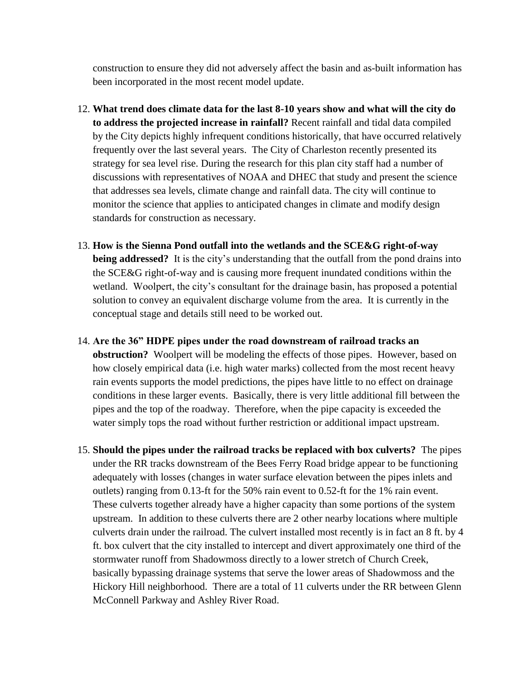construction to ensure they did not adversely affect the basin and as-built information has been incorporated in the most recent model update.

- 12. **What trend does climate data for the last 8-10 years show and what will the city do to address the projected increase in rainfall?** Recent rainfall and tidal data compiled by the City depicts highly infrequent conditions historically, that have occurred relatively frequently over the last several years. The City of Charleston recently presented its strategy for sea level rise. During the research for this plan city staff had a number of discussions with representatives of NOAA and DHEC that study and present the science that addresses sea levels, climate change and rainfall data. The city will continue to monitor the science that applies to anticipated changes in climate and modify design standards for construction as necessary.
- 13. **How is the Sienna Pond outfall into the wetlands and the SCE&G right-of-way being addressed?** It is the city's understanding that the outfall from the pond drains into the SCE&G right-of-way and is causing more frequent inundated conditions within the wetland. Woolpert, the city's consultant for the drainage basin, has proposed a potential solution to convey an equivalent discharge volume from the area. It is currently in the conceptual stage and details still need to be worked out.
- 14. **Are the 36" HDPE pipes under the road downstream of railroad tracks an obstruction?** Woolpert will be modeling the effects of those pipes. However, based on how closely empirical data (i.e. high water marks) collected from the most recent heavy rain events supports the model predictions, the pipes have little to no effect on drainage conditions in these larger events. Basically, there is very little additional fill between the pipes and the top of the roadway. Therefore, when the pipe capacity is exceeded the water simply tops the road without further restriction or additional impact upstream.
- 15. **Should the pipes under the railroad tracks be replaced with box culverts?** The pipes under the RR tracks downstream of the Bees Ferry Road bridge appear to be functioning adequately with losses (changes in water surface elevation between the pipes inlets and outlets) ranging from 0.13-ft for the 50% rain event to 0.52-ft for the 1% rain event. These culverts together already have a higher capacity than some portions of the system upstream. In addition to these culverts there are 2 other nearby locations where multiple culverts drain under the railroad. The culvert installed most recently is in fact an 8 ft. by 4 ft. box culvert that the city installed to intercept and divert approximately one third of the stormwater runoff from Shadowmoss directly to a lower stretch of Church Creek, basically bypassing drainage systems that serve the lower areas of Shadowmoss and the Hickory Hill neighborhood. There are a total of 11 culverts under the RR between Glenn McConnell Parkway and Ashley River Road.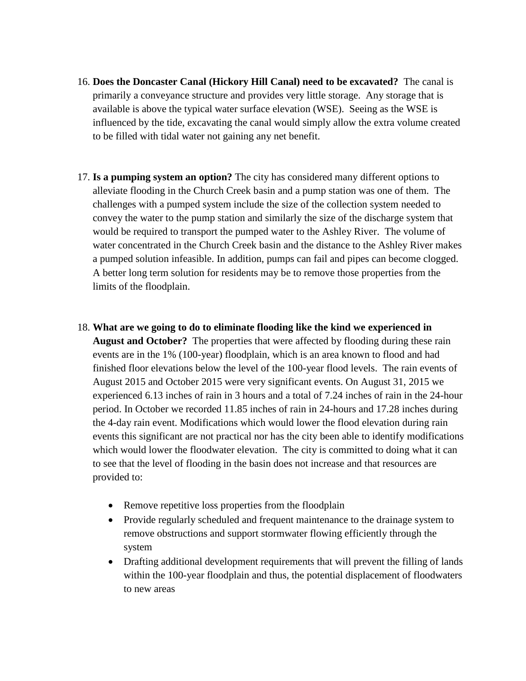- 16. **Does the Doncaster Canal (Hickory Hill Canal) need to be excavated?** The canal is primarily a conveyance structure and provides very little storage. Any storage that is available is above the typical water surface elevation (WSE). Seeing as the WSE is influenced by the tide, excavating the canal would simply allow the extra volume created to be filled with tidal water not gaining any net benefit.
- 17. **Is a pumping system an option?** The city has considered many different options to alleviate flooding in the Church Creek basin and a pump station was one of them. The challenges with a pumped system include the size of the collection system needed to convey the water to the pump station and similarly the size of the discharge system that would be required to transport the pumped water to the Ashley River. The volume of water concentrated in the Church Creek basin and the distance to the Ashley River makes a pumped solution infeasible. In addition, pumps can fail and pipes can become clogged. A better long term solution for residents may be to remove those properties from the limits of the floodplain.
- 18. **What are we going to do to eliminate flooding like the kind we experienced in August and October?** The properties that were affected by flooding during these rain events are in the 1% (100-year) floodplain, which is an area known to flood and had finished floor elevations below the level of the 100-year flood levels. The rain events of August 2015 and October 2015 were very significant events. On August 31, 2015 we experienced 6.13 inches of rain in 3 hours and a total of 7.24 inches of rain in the 24-hour period. In October we recorded 11.85 inches of rain in 24-hours and 17.28 inches during the 4-day rain event. Modifications which would lower the flood elevation during rain events this significant are not practical nor has the city been able to identify modifications which would lower the floodwater elevation. The city is committed to doing what it can to see that the level of flooding in the basin does not increase and that resources are provided to:
	- Remove repetitive loss properties from the floodplain
	- Provide regularly scheduled and frequent maintenance to the drainage system to remove obstructions and support stormwater flowing efficiently through the system
	- Drafting additional development requirements that will prevent the filling of lands within the 100-year floodplain and thus, the potential displacement of floodwaters to new areas